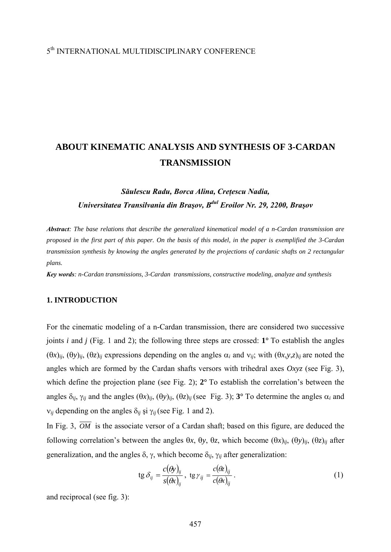## 5th INTERNATIONAL MULTIDISCIPLINARY CONFERENCE

# **ABOUT KINEMATIC ANALYSIS AND SYNTHESIS OF 3-CARDAN TRANSMISSION**

## *Săulescu Radu, Borca Alina, Creţescu Nadia, Universitatea Transilvania din Braşov, Bdul Eroilor Nr. 29, 2200, Braşov*

*Abstract: The base relations that describe the generalized kinematical model of a n-Cardan transmission are proposed in the first part of this paper. On the basis of this model, in the paper is exemplified the 3-Cardan transmission synthesis by knowing the angles generated by the projections of cardanic shafts on 2 rectangular plans.* 

*Key words: n-Cardan transmissions, 3-Cardan transmissions, constructive modeling, analyze and synthesis* 

#### **1. INTRODUCTION**

For the cinematic modeling of a n-Cardan transmission, there are considered two successive joints *i* and *j* (Fig. 1 and 2); the following three steps are crossed: **1°** To establish the angles (θ*x*)*ij*, (θ*y*)*ij*, (θ*z*)*ij* expressions depending on the angles α*i* and ν*ij*; with (θ*x*,*y*,*z*)*ij* are noted the angles which are formed by the Cardan shafts versors with trihedral axes *Oxyz* (see Fig. 3), which define the projection plane (see Fig. 2); **2°** To establish the correlation's between the angles  $\delta_{ij}$ ,  $\gamma_{ij}$  and the angles  $(\theta x)_{ij}$ ,  $(\theta y)_{ij}$ ,  $(\theta z)_{ij}$  (see Fig. 3); **3**° To determine the angles  $\alpha_i$  and ν*ij* depending on the angles δ*ij* şi γ*ij*(see Fig. 1 and 2).

In Fig. 3,  $\overline{OM}$  is the associate versor of a Cardan shaft; based on this figure, are deduced the following correlation's between the angles θ*x*, θ*y*, θ*z*, which become (θ*x*)*ij*, (θ*y*)*ij*, (θ*z*)*ij* after generalization, and the angles δ, γ, which become δ*ij*, γ*ij* after generalization:

$$
\operatorname{tg} \delta_{ij} = \frac{c(\theta y)_{ij}}{s(\theta x)_{ij}}, \ \operatorname{tg} \gamma_{ij} = \frac{c(\theta z)_{ij}}{c(\theta x)_{ij}}.
$$
 (1)

and reciprocal (see fig. 3):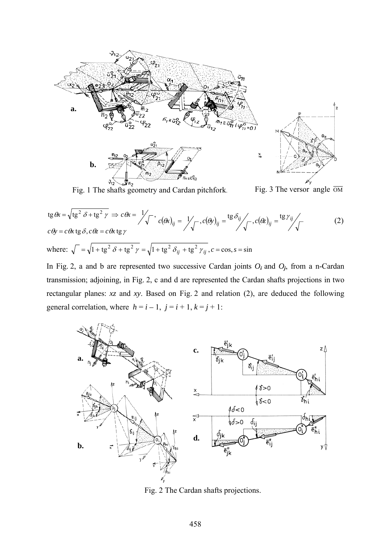



$$
\operatorname{tg} \theta x = \sqrt{\operatorname{tg}^2 \delta + \operatorname{tg}^2 \gamma} \implies c \theta x = \frac{1}{\sqrt{\phantom{0}}}, \quad c(\theta x)_{ij} = \frac{1}{\sqrt{\phantom{0}}}, \quad c(\theta y)_{ij} = \frac{\operatorname{tg} \delta_{ij}}{\sqrt{\phantom{0}}}, \quad c(\theta z)_{ij} = \frac{\operatorname{tg} \gamma_{ij}}{\sqrt{\phantom{0}}}, \quad c(\theta z)_{ij} = \frac{\operatorname{tg} \gamma_{ij}}{\sqrt{\phantom{0}}}, \quad c(\theta z)_{ij} = \frac{\operatorname{tg} \gamma_{ij}}{\sqrt{\phantom{0}}}, \quad c(\theta z)_{ij} = \frac{\operatorname{tg} \gamma_{ij}}{\sqrt{\phantom{0}}}, \quad c(\theta z)_{ij} = \frac{\operatorname{tg} \gamma_{ij}}{\sqrt{\phantom{0}}}, \quad c(\theta z)_{ij} = \frac{\operatorname{tg} \gamma_{ij}}{\sqrt{\phantom{0}}}, \quad c(\theta z)_{ij} = \frac{\operatorname{tg} \gamma_{ij}}{\sqrt{\phantom{0}}}, \quad c(\theta z)_{ij} = \frac{\operatorname{tg} \gamma_{ij}}{\sqrt{\phantom{0}}}, \quad c(\theta z)_{ij} = \frac{\operatorname{tg} \gamma_{ij}}{\sqrt{\phantom{0}}}, \quad c(\theta z)_{ij} = \frac{\operatorname{tg} \gamma_{ij}}{\sqrt{\phantom{0}}}, \quad c(\theta z)_{ij} = \frac{\operatorname{tg} \gamma_{ij}}{\sqrt{\phantom{0}}}, \quad c(\theta z)_{ij} = \frac{\operatorname{tg} \gamma_{ij}}{\sqrt{\phantom{0}}}, \quad c(\theta z)_{ij} = \frac{\operatorname{tg} \gamma_{ij}}{\sqrt{\phantom{0}}}, \quad c(\theta z)_{ij} = \frac{\operatorname{tg} \gamma_{ij}}{\sqrt{\phantom{0}}}, \quad c(\theta z)_{ij} = \frac{\operatorname{tg} \gamma_{ij}}{\sqrt{\phantom{0}}}, \quad c(\theta z)_{ij} = \frac{\operatorname{tg} \gamma_{ij}}{\sqrt{\phantom{0}}}, \quad c(\theta z)_{ij} = \frac{\operatorname{tg} \gamma_{ij}}{\sqrt{\phantom{0}}}, \quad c(\theta z)_{ij} = \frac{\operatorname{tg} \gamma_{ij}}{\sqrt{\phantom{0}}}, \quad c(\theta z)_{ij} = \frac{\operatorname{tg} \gamma_{ij}}{\sqrt{\phantom{0}}}, \quad c(\theta z)_{ij} = \frac{\operatorname{tg}
$$

In Fig. 2, a and b are represented two successive Cardan joints *O<sup>i</sup>* and *Oj*, from a n-Cardan transmission; adjoining, in Fig. 2, c and d are represented the Cardan shafts projections in two rectangular planes: *xz* and *xy*. Based on Fig. 2 and relation (2), are deduced the following general correlation, where  $h = i - 1$ ,  $j = i + 1$ ,  $k = j + 1$ :



Fig. 2 The Cardan shafts projections.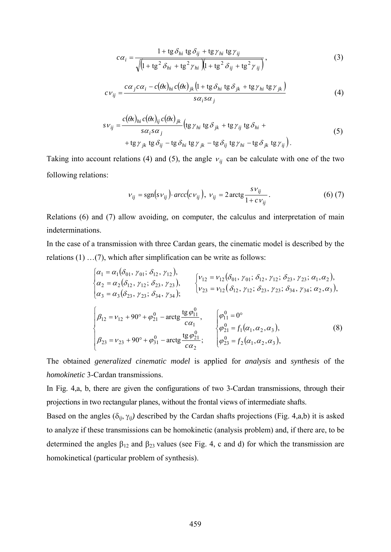$$
c\alpha_i = \frac{1 + \text{tg }\delta_{hi} \text{tg }\delta_{ij} + \text{tg }\gamma_{hi} \text{tg }\gamma_{ij}}{\sqrt{\left(1 + \text{tg}^2 \delta_{hi} + \text{tg}^2 \gamma_{hi}\right)\left(1 + \text{tg}^2 \delta_{ij} + \text{tg}^2 \gamma_{ij}\right)}},\tag{3}
$$

$$
c\,\nu_{ij} = \frac{c\,\alpha_j c\,\alpha_i - c(\theta x)_{hi} c(\theta x)_{jk} \left(1 + \text{tg}\,\delta_{hi}\,\text{tg}\,\delta_{jk} + \text{tg}\,\gamma_{hi}\,\text{tg}\,\gamma_{jk}\right)}{s\,\alpha_i s\,\alpha_j} \tag{4}
$$

$$
s v_{ij} = \frac{c(\theta x)_{hi} c(\theta x)_{ij} c(\theta x)_{jk}}{s \alpha_i s \alpha_j} \left( \text{tg } \gamma_{hi} \text{tg } \delta_{jk} + \text{tg } \gamma_{ij} \text{tg } \delta_{hi} + \text{tg } \gamma_{jk} \text{tg } \delta_{ij} - \text{tg } \delta_{hi} \text{tg } \gamma_{jk} - \text{tg } \delta_{ij} \text{tg } \gamma_{hi} - \text{tg } \delta_{jk} \text{tg } \gamma_{ij} \right).
$$
\n(5)

Taking into account relations (4) and (5), the angle  $v_{ij}$  can be calculate with one of the two following relations:

$$
v_{ij} = \text{sgn}(s v_{ij}) \cdot \text{arcc}(c v_{ij}), \ v_{ij} = 2 \text{arctg} \frac{s v_{ij}}{1 + c v_{ij}}. \tag{6) (7)}
$$

Relations (6) and (7) allow avoiding, on computer, the calculus and interpretation of main indeterminations.

In the case of a transmission with three Cardan gears, the cinematic model is described by the relations (1) …(7), which after simplification can be write as follows:

$$
\begin{cases}\n\alpha_1 = \alpha_1(\delta_{01}, \gamma_{01}; \delta_{12}, \gamma_{12}), & \{v_{12} = v_{12}(\delta_{01}, \gamma_{01}; \delta_{12}, \gamma_{12}; \delta_{23}, \gamma_{23}; \alpha_1, \alpha_2), \\
\alpha_2 = \alpha_2(\delta_{12}, \gamma_{12}; \delta_{23}, \gamma_{23}), & \{v_{23} = v_{12}(\delta_{12}, \gamma_{12}; \delta_{23}, \gamma_{23}; \delta_{34}, \gamma_{34}; \alpha_2, \alpha_3), \\
\alpha_3 = \alpha_3(\delta_{23}, \gamma_{23}; \delta_{34}, \gamma_{34}); & \{v_{23} = v_{12}(\delta_{12}, \gamma_{12}; \delta_{23}, \gamma_{23}; \delta_{34}, \gamma_{34}; \alpha_2, \alpha_3), \\
\beta_{12} = v_{12} + 90^\circ + \varphi_{21}^0 - \arctg \frac{\text{tg}\varphi_{11}^0}{c\alpha_1}, & \begin{cases}\n\varphi_{11}^0 = 0^\circ \\
\varphi_{21}^0 = f_1(\alpha_1, \alpha_2, \alpha_3), \\
\varphi_{23}^0 = f_2(\alpha_1, \alpha_2, \alpha_3),\n\end{cases}\n\end{cases}\n\tag{8}
$$

The obtained *generalized cinematic model* is applied for *analysis* and *synthesis* of the *homokinetic* 3-Cardan transmissions.

In Fig. 4,a, b, there are given the configurations of two 3-Cardan transmissions, through their projections in two rectangular planes, without the frontal views of intermediate shafts.

Based on the angles  $(\delta_{ij}, \gamma_{ij})$  described by the Cardan shafts projections (Fig. 4,a,b) it is asked to analyze if these transmissions can be homokinetic (analysis problem) and, if there are, to be determined the angles  $\beta_{12}$  and  $\beta_{23}$  values (see Fig. 4, c and d) for which the transmission are homokinetical (particular problem of synthesis).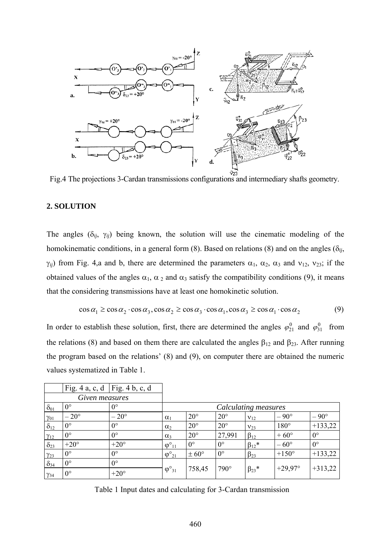

Fig.4 The projections 3-Cardan transmissions configurations and intermediary shafts geometry.

### **2. SOLUTION**

The angles  $(\delta_{ij}, \gamma_{ij})$  being known, the solution will use the cinematic modeling of the homokinematic conditions, in a general form (8). Based on relations (8) and on the angles (δ*ij*,  $\gamma_{ij}$ ) from Fig. 4,a and b, there are determined the parameters  $\alpha_1$ ,  $\alpha_2$ ,  $\alpha_3$  and  $\nu_{12}$ ,  $\nu_{23}$ ; if the obtained values of the angles  $\alpha_1$ ,  $\alpha_2$  and  $\alpha_3$  satisfy the compatibility conditions (9), it means that the considering transmissions have at least one homokinetic solution.

$$
\cos \alpha_1 \ge \cos \alpha_2 \cdot \cos \alpha_3, \cos \alpha_2 \ge \cos \alpha_3 \cdot \cos \alpha_1, \cos \alpha_3 \ge \cos \alpha_1 \cdot \cos \alpha_2 \tag{9}
$$

In order to establish these solution, first, there are determined the angles  $\varphi_{21}^0$  and  $\varphi_{31}^0$  from the relations (8) and based on them there are calculated the angles  $\beta_{12}$  and  $\beta_{23}$ . After running the program based on the relations' (8) and (9), on computer there are obtained the numeric values systematized in Table 1.

|                | Fig. 4 a, c, d   Fig. 4 b, c, d |               |                        |                  |              |                |                  |               |
|----------------|---------------------------------|---------------|------------------------|------------------|--------------|----------------|------------------|---------------|
| Given measures |                                 |               |                        |                  |              |                |                  |               |
| $\delta_{01}$  | $0^{\circ}$                     | $0^{\circ}$   | Calculating measures   |                  |              |                |                  |               |
| $\gamma_{01}$  | $-20^{\circ}$                   | $-20^{\circ}$ | $\alpha_1$             | $20^{\circ}$     | $20^{\circ}$ | $V_{12}$       | $-90^{\circ}$    | $-90^{\circ}$ |
| $\delta_{12}$  | $0^{\circ}$                     | $0^{\circ}$   | $\alpha_2$             | $20^{\circ}$     | $20^{\circ}$ | $V_{23}$       | $180^\circ$      | $+133,22$     |
| $\gamma_{12}$  | $0^{\circ}$                     | $0^{\circ}$   | $\alpha_3$             | $20^{\circ}$     | 27,991       | $\beta_{12}$   | $+60^{\circ}$    | $0^{\circ}$   |
| $\delta_{23}$  | $+20^{\circ}$                   | $+20^{\circ}$ | $\varphi^{\circ}_{11}$ | $0^{\circ}$      | $0^{\circ}$  | $\beta_{12}$ * | $-60^{\circ}$    | $0^{\circ}$   |
| $\gamma_{23}$  | $0^{\circ}$                     | $0^{\circ}$   | $\varphi^{\circ}_{21}$ | $\pm 60^{\circ}$ | $0^{\circ}$  | $\beta_{23}$   | $+150^\circ$     | $+133,22$     |
| $\delta_{34}$  | $0^{\circ}$                     | $0^{\circ}$   | $\varphi^{\circ}_{31}$ | 758,45           | $790^\circ$  | $\beta_{23}$ * | $+29.97^{\circ}$ | $+313,22$     |
| $\gamma_{34}$  | $0^{\circ}$                     | $+20^{\circ}$ |                        |                  |              |                |                  |               |

Table 1 Input dates and calculating for 3-Cardan transmission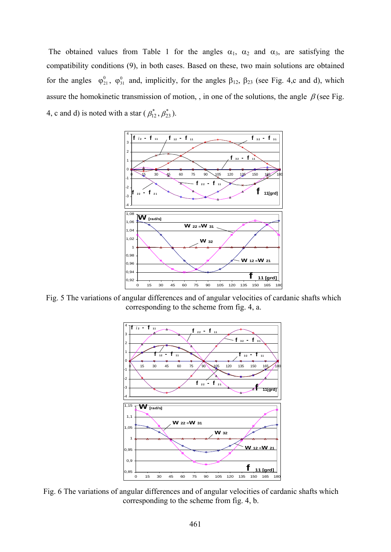The obtained values from Table 1 for the angles  $\alpha_1$ ,  $\alpha_2$  and  $\alpha_3$ , are satisfying the compatibility conditions (9), in both cases. Based on these, two main solutions are obtained for the angles  $\varphi_{21}^0$ ,  $\varphi_{31}^0$  and, implicitly, for the angles  $\beta_{12}$ ,  $\beta_{23}$  (see Fig. 4,c and d), which assure the homokinetic transmission of motion, , in one of the solutions, the angle  $\beta$  (see Fig. 4, c and d) is noted with a star ( $\beta_{12}^*, \beta_{23}^*$ ).



Fig. 5 The variations of angular differences and of angular velocities of cardanic shafts which corresponding to the scheme from fig. 4, a.



Fig. 6 The variations of angular differences and of angular velocities of cardanic shafts which corresponding to the scheme from fig. 4, b.